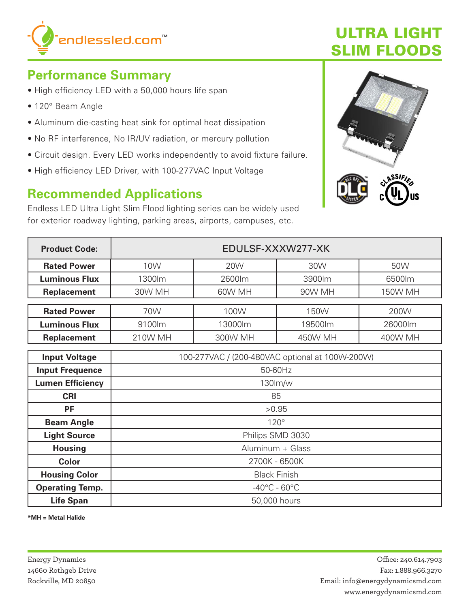

# **ULTRA LIGHT SLIM FLOODS**

# **Performance Summary**

- High efficiency LED with a 50,000 hours life span
- 120° Beam Angle
- Aluminum die-casting heat sink for optimal heat dissipation
- . No RF interference, No IR/UV radiation, or mercury pollution
- Circuit design. Every LED works independently to avoid fixture failure.
- High efficiency LED Driver, with 100-277VAC Input Voltage

### **Recommended Applications**

Endless LED Ultra Light Slim Flood lighting series can be widely used for exterior roadway lighting, parking areas, airports, campuses, etc.



| <b>Product Code:</b>    | EDULSF-XXXW277-XK                               |            |         |         |  |
|-------------------------|-------------------------------------------------|------------|---------|---------|--|
| <b>Rated Power</b>      | 10W                                             | <b>20W</b> | 30W     | 50W     |  |
| <b>Luminous Flux</b>    | 1300lm                                          | 2600lm     | 3900lm  | 6500lm  |  |
| <b>Replacement</b>      | 30W MH                                          | 60W MH     | 90W MH  | 150W MH |  |
| <b>Rated Power</b>      | 70W<br>100W<br>150W                             |            |         | 200W    |  |
|                         |                                                 |            |         |         |  |
| <b>Luminous Flux</b>    | 9100lm                                          | 13000lm    | 19500lm | 26000lm |  |
| <b>Replacement</b>      | 210W MH                                         | 300W MH    | 450W MH | 400W MH |  |
| <b>Input Voltage</b>    | 100-277VAC / (200-480VAC optional at 100W-200W) |            |         |         |  |
|                         |                                                 |            |         |         |  |
| <b>Input Frequence</b>  | 50-60Hz                                         |            |         |         |  |
| <b>Lumen Efficiency</b> | 130lm/w                                         |            |         |         |  |
| <b>CRI</b>              | 85                                              |            |         |         |  |
| <b>PF</b>               | >0.95                                           |            |         |         |  |
| <b>Beam Angle</b>       | $120^\circ$                                     |            |         |         |  |
| <b>Light Source</b>     | Philips SMD 3030                                |            |         |         |  |
| <b>Housing</b>          | Aluminum + Glass                                |            |         |         |  |
| <b>Color</b>            | 2700K - 6500K                                   |            |         |         |  |
| <b>Housing Color</b>    | <b>Black Finish</b>                             |            |         |         |  |
| <b>Operating Temp.</b>  | $-40^{\circ}$ C - 60 $^{\circ}$ C               |            |         |         |  |
| <b>Life Span</b>        | 50,000 hours                                    |            |         |         |  |

\*MH = Metal Halide

**Energy Dynamics** 14660 Rothgeb Drive Rockville, MD 20850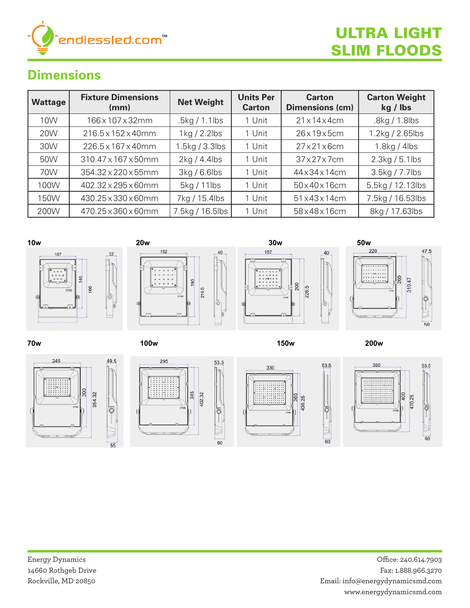

#### **Dimensions Modelisions**

| <b>Wattage</b>  | <b>Fixture Dimensions</b><br>(mm) | <b>Net Weight</b> | <b>Units Per</b><br><b>Carton</b> | <b>Carton</b><br><b>Dimensions (cm)</b> | <b>Carton Weight</b><br>kg / lbs |
|-----------------|-----------------------------------|-------------------|-----------------------------------|-----------------------------------------|----------------------------------|
| 10 <sub>W</sub> | 166x107x32mm                      | .5kg / 1.1lbs     | 1 Unit                            | 21x14x4cm                               | .8kg / 1.8lbs                    |
| <b>20W</b>      | $216.5 \times 152 \times 40$ mm   | $1$ kg / 2.2lbs   | 1 Unit                            | 26x19x5cm                               | $1.2$ kg / 2.65lbs               |
| 30W             | 226.5 x 167 x 40mm                | 1.5kg / 3.3lbs    | 1 Unit                            | $27\times21\times6$ cm                  | $1.8$ kg / 4lbs                  |
| 50W             | 310.47 x 167 x 50mm               | 2kg/4.4lbs        | 1 Unit                            | $37\times27\times7$ cm                  | $2.3$ kg / 5.1lbs                |
| 70W             | $354.32 \times 220 \times 55$ mm  | 3kg/6.6lbs        | 1 Unit                            | 44 x 34 x 14 cm                         | 3.5kg / 7.7lbs                   |
| 100W            | 402.32 x 295 x 60mm               | 5kg / 11lbs       | 1 Unit                            | $50\times40\times16$ cm                 | 5.5kg / 12.13lbs                 |
| 150W            | 430.25 x 330 x 60mm               | 7kg / 15.4lbs     | 1 Unit                            | $51 \times 43 \times 14$ cm             | 7.5kg / 16.53lbs                 |
| 200W            | 470.25 x 360 x 60mm               | 7.5kg / 16.5lbs   | 1 Unit                            | 58x48x16cm                              | 8kg / 17.63lbs                   |



60

55

60

60